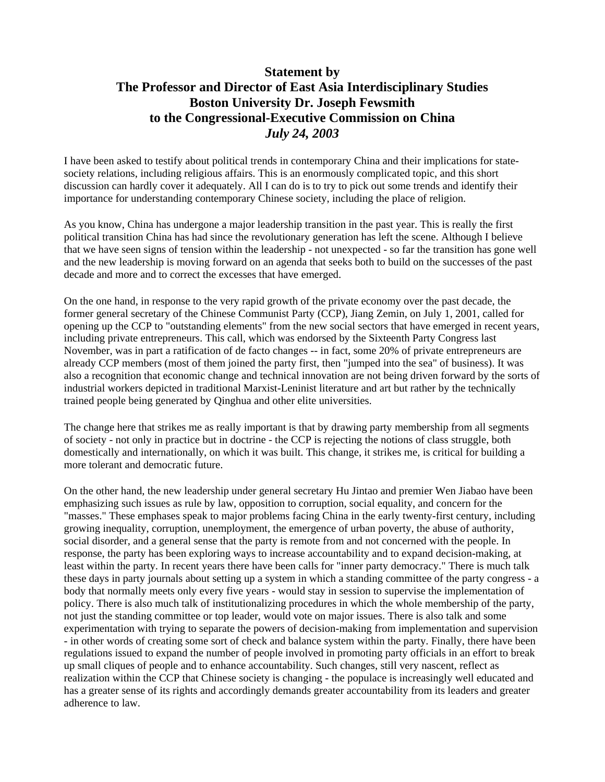## **Statement by The Professor and Director of East Asia Interdisciplinary Studies Boston University Dr. Joseph Fewsmith to the Congressional-Executive Commission on China**  *July 24, 2003*

I have been asked to testify about political trends in contemporary China and their implications for statesociety relations, including religious affairs. This is an enormously complicated topic, and this short discussion can hardly cover it adequately. All I can do is to try to pick out some trends and identify their importance for understanding contemporary Chinese society, including the place of religion.

As you know, China has undergone a major leadership transition in the past year. This is really the first political transition China has had since the revolutionary generation has left the scene. Although I believe that we have seen signs of tension within the leadership - not unexpected - so far the transition has gone well and the new leadership is moving forward on an agenda that seeks both to build on the successes of the past decade and more and to correct the excesses that have emerged.

On the one hand, in response to the very rapid growth of the private economy over the past decade, the former general secretary of the Chinese Communist Party (CCP), Jiang Zemin, on July 1, 2001, called for opening up the CCP to "outstanding elements" from the new social sectors that have emerged in recent years, including private entrepreneurs. This call, which was endorsed by the Sixteenth Party Congress last November, was in part a ratification of de facto changes -- in fact, some 20% of private entrepreneurs are already CCP members (most of them joined the party first, then "jumped into the sea" of business). It was also a recognition that economic change and technical innovation are not being driven forward by the sorts of industrial workers depicted in traditional Marxist-Leninist literature and art but rather by the technically trained people being generated by Qinghua and other elite universities.

The change here that strikes me as really important is that by drawing party membership from all segments of society - not only in practice but in doctrine - the CCP is rejecting the notions of class struggle, both domestically and internationally, on which it was built. This change, it strikes me, is critical for building a more tolerant and democratic future.

On the other hand, the new leadership under general secretary Hu Jintao and premier Wen Jiabao have been emphasizing such issues as rule by law, opposition to corruption, social equality, and concern for the "masses." These emphases speak to major problems facing China in the early twenty-first century, including growing inequality, corruption, unemployment, the emergence of urban poverty, the abuse of authority, social disorder, and a general sense that the party is remote from and not concerned with the people. In response, the party has been exploring ways to increase accountability and to expand decision-making, at least within the party. In recent years there have been calls for "inner party democracy." There is much talk these days in party journals about setting up a system in which a standing committee of the party congress - a body that normally meets only every five years - would stay in session to supervise the implementation of policy. There is also much talk of institutionalizing procedures in which the whole membership of the party, not just the standing committee or top leader, would vote on major issues. There is also talk and some experimentation with trying to separate the powers of decision-making from implementation and supervision - in other words of creating some sort of check and balance system within the party. Finally, there have been regulations issued to expand the number of people involved in promoting party officials in an effort to break up small cliques of people and to enhance accountability. Such changes, still very nascent, reflect as realization within the CCP that Chinese society is changing - the populace is increasingly well educated and has a greater sense of its rights and accordingly demands greater accountability from its leaders and greater adherence to law.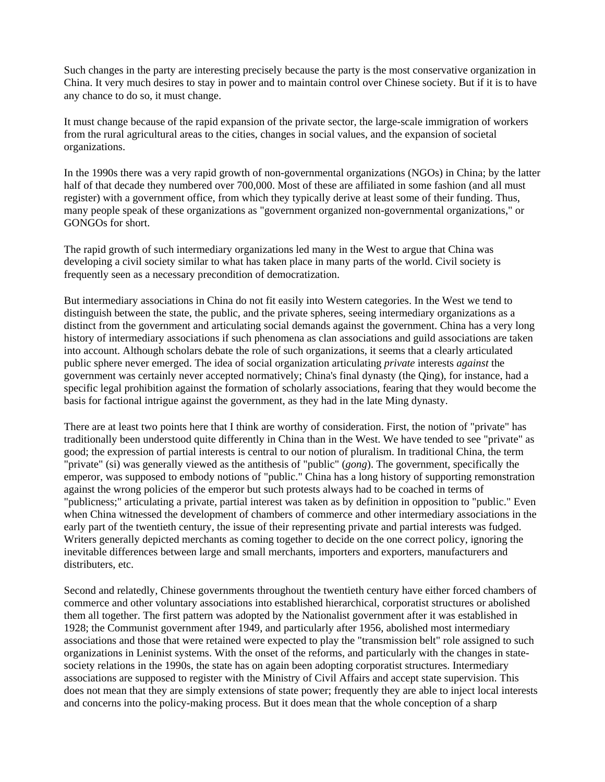Such changes in the party are interesting precisely because the party is the most conservative organization in China. It very much desires to stay in power and to maintain control over Chinese society. But if it is to have any chance to do so, it must change.

It must change because of the rapid expansion of the private sector, the large-scale immigration of workers from the rural agricultural areas to the cities, changes in social values, and the expansion of societal organizations.

In the 1990s there was a very rapid growth of non-governmental organizations (NGOs) in China; by the latter half of that decade they numbered over 700,000. Most of these are affiliated in some fashion (and all must register) with a government office, from which they typically derive at least some of their funding. Thus, many people speak of these organizations as "government organized non-governmental organizations," or GONGOs for short.

The rapid growth of such intermediary organizations led many in the West to argue that China was developing a civil society similar to what has taken place in many parts of the world. Civil society is frequently seen as a necessary precondition of democratization.

But intermediary associations in China do not fit easily into Western categories. In the West we tend to distinguish between the state, the public, and the private spheres, seeing intermediary organizations as a distinct from the government and articulating social demands against the government. China has a very long history of intermediary associations if such phenomena as clan associations and guild associations are taken into account. Although scholars debate the role of such organizations, it seems that a clearly articulated public sphere never emerged. The idea of social organization articulating *private* interests *against* the government was certainly never accepted normatively; China's final dynasty (the Qing), for instance, had a specific legal prohibition against the formation of scholarly associations, fearing that they would become the basis for factional intrigue against the government, as they had in the late Ming dynasty.

There are at least two points here that I think are worthy of consideration. First, the notion of "private" has traditionally been understood quite differently in China than in the West. We have tended to see "private" as good; the expression of partial interests is central to our notion of pluralism. In traditional China, the term "private" (si) was generally viewed as the antithesis of "public" (*gong*). The government, specifically the emperor, was supposed to embody notions of "public." China has a long history of supporting remonstration against the wrong policies of the emperor but such protests always had to be coached in terms of "publicness;" articulating a private, partial interest was taken as by definition in opposition to "public." Even when China witnessed the development of chambers of commerce and other intermediary associations in the early part of the twentieth century, the issue of their representing private and partial interests was fudged. Writers generally depicted merchants as coming together to decide on the one correct policy, ignoring the inevitable differences between large and small merchants, importers and exporters, manufacturers and distributers, etc.

Second and relatedly, Chinese governments throughout the twentieth century have either forced chambers of commerce and other voluntary associations into established hierarchical, corporatist structures or abolished them all together. The first pattern was adopted by the Nationalist government after it was established in 1928; the Communist government after 1949, and particularly after 1956, abolished most intermediary associations and those that were retained were expected to play the "transmission belt" role assigned to such organizations in Leninist systems. With the onset of the reforms, and particularly with the changes in statesociety relations in the 1990s, the state has on again been adopting corporatist structures. Intermediary associations are supposed to register with the Ministry of Civil Affairs and accept state supervision. This does not mean that they are simply extensions of state power; frequently they are able to inject local interests and concerns into the policy-making process. But it does mean that the whole conception of a sharp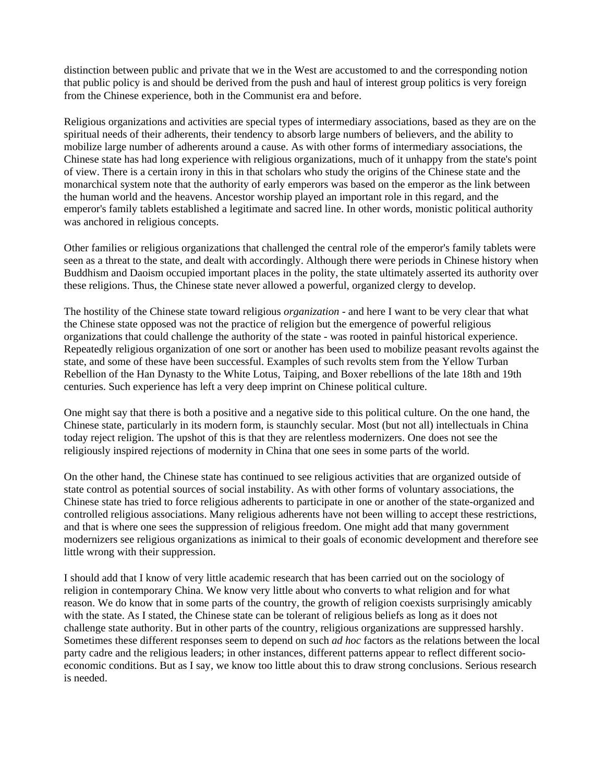distinction between public and private that we in the West are accustomed to and the corresponding notion that public policy is and should be derived from the push and haul of interest group politics is very foreign from the Chinese experience, both in the Communist era and before.

Religious organizations and activities are special types of intermediary associations, based as they are on the spiritual needs of their adherents, their tendency to absorb large numbers of believers, and the ability to mobilize large number of adherents around a cause. As with other forms of intermediary associations, the Chinese state has had long experience with religious organizations, much of it unhappy from the state's point of view. There is a certain irony in this in that scholars who study the origins of the Chinese state and the monarchical system note that the authority of early emperors was based on the emperor as the link between the human world and the heavens. Ancestor worship played an important role in this regard, and the emperor's family tablets established a legitimate and sacred line. In other words, monistic political authority was anchored in religious concepts.

Other families or religious organizations that challenged the central role of the emperor's family tablets were seen as a threat to the state, and dealt with accordingly. Although there were periods in Chinese history when Buddhism and Daoism occupied important places in the polity, the state ultimately asserted its authority over these religions. Thus, the Chinese state never allowed a powerful, organized clergy to develop.

The hostility of the Chinese state toward religious *organization* - and here I want to be very clear that what the Chinese state opposed was not the practice of religion but the emergence of powerful religious organizations that could challenge the authority of the state - was rooted in painful historical experience. Repeatedly religious organization of one sort or another has been used to mobilize peasant revolts against the state, and some of these have been successful. Examples of such revolts stem from the Yellow Turban Rebellion of the Han Dynasty to the White Lotus, Taiping, and Boxer rebellions of the late 18th and 19th centuries. Such experience has left a very deep imprint on Chinese political culture.

One might say that there is both a positive and a negative side to this political culture. On the one hand, the Chinese state, particularly in its modern form, is staunchly secular. Most (but not all) intellectuals in China today reject religion. The upshot of this is that they are relentless modernizers. One does not see the religiously inspired rejections of modernity in China that one sees in some parts of the world.

On the other hand, the Chinese state has continued to see religious activities that are organized outside of state control as potential sources of social instability. As with other forms of voluntary associations, the Chinese state has tried to force religious adherents to participate in one or another of the state-organized and controlled religious associations. Many religious adherents have not been willing to accept these restrictions, and that is where one sees the suppression of religious freedom. One might add that many government modernizers see religious organizations as inimical to their goals of economic development and therefore see little wrong with their suppression.

I should add that I know of very little academic research that has been carried out on the sociology of religion in contemporary China. We know very little about who converts to what religion and for what reason. We do know that in some parts of the country, the growth of religion coexists surprisingly amicably with the state. As I stated, the Chinese state can be tolerant of religious beliefs as long as it does not challenge state authority. But in other parts of the country, religious organizations are suppressed harshly. Sometimes these different responses seem to depend on such *ad hoc* factors as the relations between the local party cadre and the religious leaders; in other instances, different patterns appear to reflect different socioeconomic conditions. But as I say, we know too little about this to draw strong conclusions. Serious research is needed.